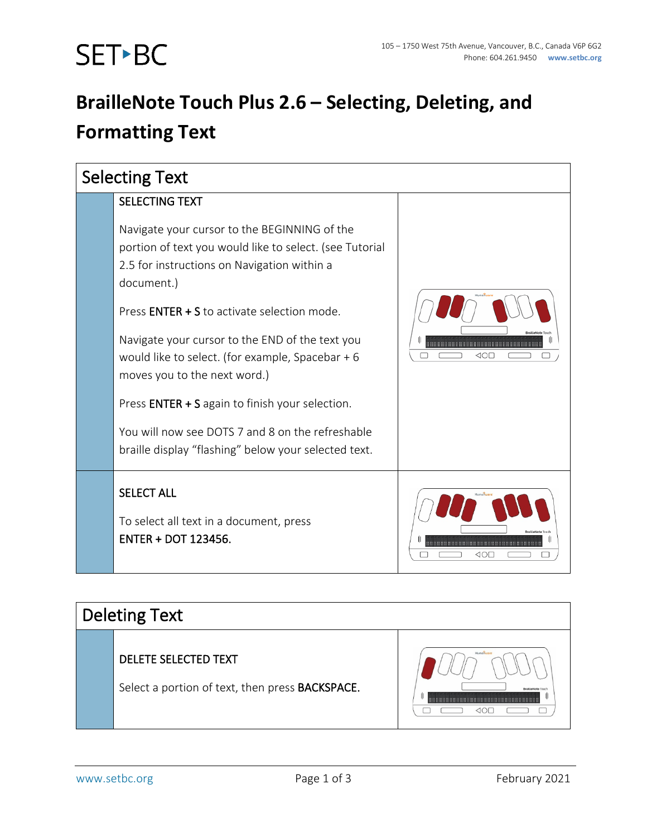

## **BrailleNote Touch Plus 2.6 – Selecting, Deleting, and Formatting Text**

| <b>Selecting Text</b> |                                                                                                                                                                                                                                                                                                                                                                  |                       |  |
|-----------------------|------------------------------------------------------------------------------------------------------------------------------------------------------------------------------------------------------------------------------------------------------------------------------------------------------------------------------------------------------------------|-----------------------|--|
|                       | <b>SELECTING TEXT</b><br>Navigate your cursor to the BEGINNING of the<br>portion of text you would like to select. (see Tutorial<br>2.5 for instructions on Navigation within a<br>document.)                                                                                                                                                                    |                       |  |
|                       | Press <b>ENTER + S</b> to activate selection mode.<br>Navigate your cursor to the END of the text you<br>would like to select. (for example, Spacebar $+6$<br>moves you to the next word.)<br>Press <b>ENTER + S</b> again to finish your selection.<br>You will now see DOTS 7 and 8 on the refreshable<br>braille display "flashing" below your selected text. | 40E                   |  |
|                       | <b>SELECT ALL</b><br>To select all text in a document, press<br><b>ENTER + DOT 123456.</b>                                                                                                                                                                                                                                                                       | <ic) < th=""></ic) <> |  |

## Deleting Text

### DELETE SELECTED TEXT

Select a portion of text, then press BACKSPACE.

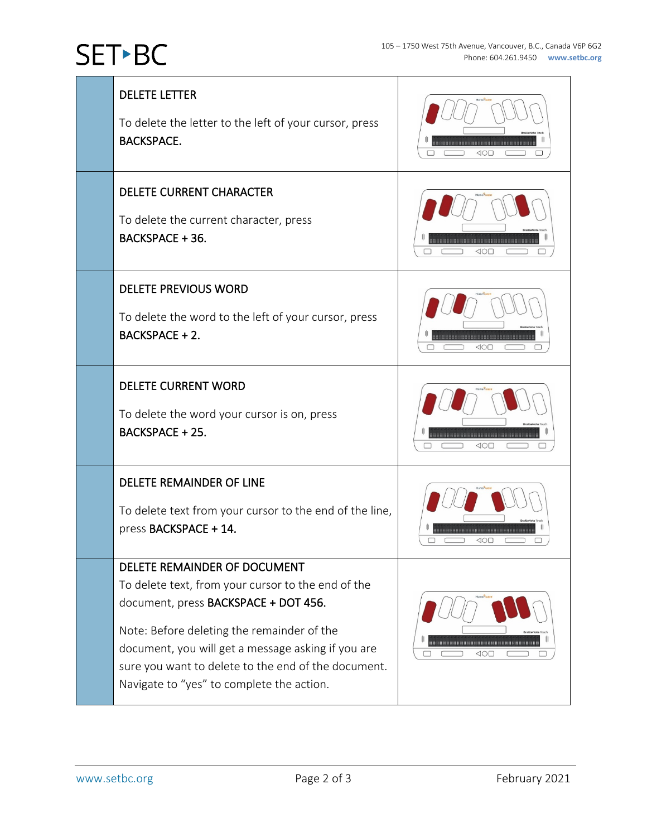# SET-BC

| <b>DELETE LETTER</b><br>To delete the letter to the left of your cursor, press<br><b>BACKSPACE.</b>                                                                                                                                                                                                                                | 00000000000000000000000000<br>40E |
|------------------------------------------------------------------------------------------------------------------------------------------------------------------------------------------------------------------------------------------------------------------------------------------------------------------------------------|-----------------------------------|
| <b>DELETE CURRENT CHARACTER</b><br>To delete the current character, press<br>BACKSPACE + 36.                                                                                                                                                                                                                                       | <b>SOF</b>                        |
| <b>DELETE PREVIOUS WORD</b><br>To delete the word to the left of your cursor, press<br><b>BACKSPACE + 2.</b>                                                                                                                                                                                                                       |                                   |
| <b>DELETE CURRENT WORD</b><br>To delete the word your cursor is on, press<br><b>BACKSPACE + 25.</b>                                                                                                                                                                                                                                | 10 N                              |
| DELETE REMAINDER OF LINE<br>To delete text from your cursor to the end of the line,<br>press BACKSPACE + 14.                                                                                                                                                                                                                       | 40E                               |
| DELETE REMAINDER OF DOCUMENT<br>To delete text, from your cursor to the end of the<br>document, press BACKSPACE + DOT 456.<br>Note: Before deleting the remainder of the<br>document, you will get a message asking if you are<br>sure you want to delete to the end of the document.<br>Navigate to "yes" to complete the action. | 40E                               |